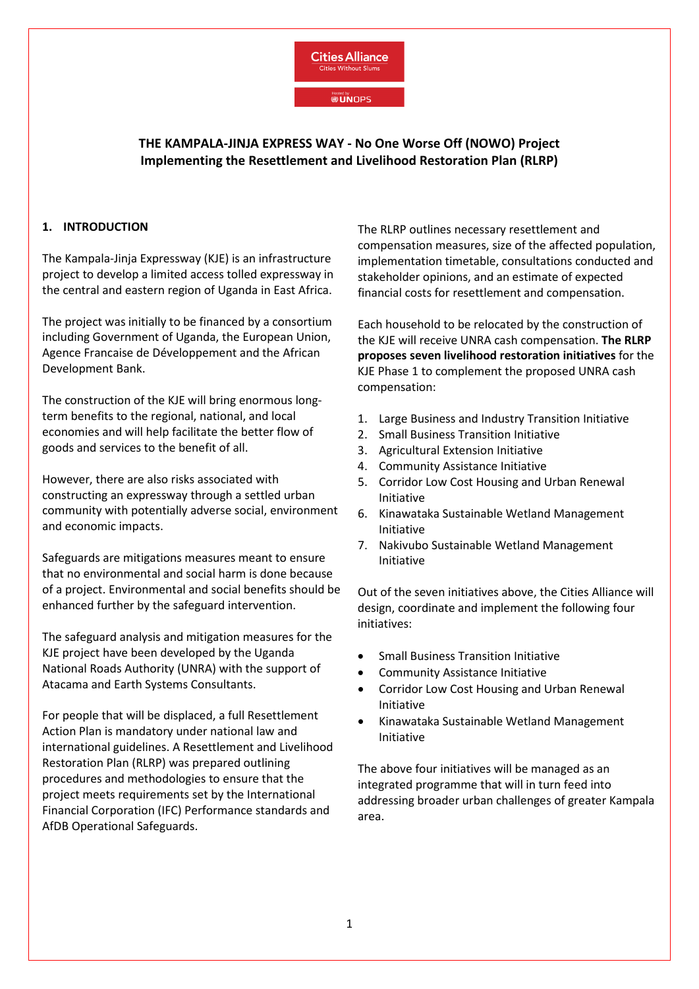

**Hosted by**<br>**@UNOPS** 

# **THE KAMPALA-JINJA EXPRESS WAY - No One Worse Off (NOWO) Project Implementing the Resettlement and Livelihood Restoration Plan (RLRP)**

#### **1. INTRODUCTION**

The Kampala-Jinja Expressway (KJE) is an infrastructure project to develop a limited access tolled expressway in the central and eastern region of Uganda in East Africa.

The project was initially to be financed by a consortium including Government of Uganda, the European Union, Agence Francaise de Développement and the African Development Bank.

The construction of the KJE will bring enormous longterm benefits to the regional, national, and local economies and will help facilitate the better flow of goods and services to the benefit of all.

However, there are also risks associated with constructing an expressway through a settled urban community with potentially adverse social, environment and economic impacts.

Safeguards are mitigations measures meant to ensure that no environmental and social harm is done because of a project. Environmental and social benefits should be enhanced further by the safeguard intervention.

The safeguard analysis and mitigation measures for the KJE project have been developed by the Uganda National Roads Authority (UNRA) with the support of Atacama and Earth Systems Consultants.

For people that will be displaced, a full Resettlement Action Plan is mandatory under national law and international guidelines. A Resettlement and Livelihood Restoration Plan (RLRP) was prepared outlining procedures and methodologies to ensure that the project meets requirements set by the International Financial Corporation (IFC) Performance standards and AfDB Operational Safeguards.

The RLRP outlines necessary resettlement and compensation measures, size of the affected population, implementation timetable, consultations conducted and stakeholder opinions, and an estimate of expected financial costs for resettlement and compensation.

Each household to be relocated by the construction of the KJE will receive UNRA cash compensation. **The RLRP proposes seven livelihood restoration initiatives** for the KJE Phase 1 to complement the proposed UNRA cash compensation:

- 1. Large Business and Industry Transition Initiative
- 2. Small Business Transition Initiative
- 3. Agricultural Extension Initiative
- 4. Community Assistance Initiative
- 5. Corridor Low Cost Housing and Urban Renewal Initiative
- 6. Kinawataka Sustainable Wetland Management Initiative
- 7. Nakivubo Sustainable Wetland Management Initiative

Out of the seven initiatives above, the Cities Alliance will design, coordinate and implement the following four initiatives:

- Small Business Transition Initiative
- Community Assistance Initiative
- Corridor Low Cost Housing and Urban Renewal Initiative
- Kinawataka Sustainable Wetland Management Initiative

The above four initiatives will be managed as an integrated programme that will in turn feed into addressing broader urban challenges of greater Kampala area.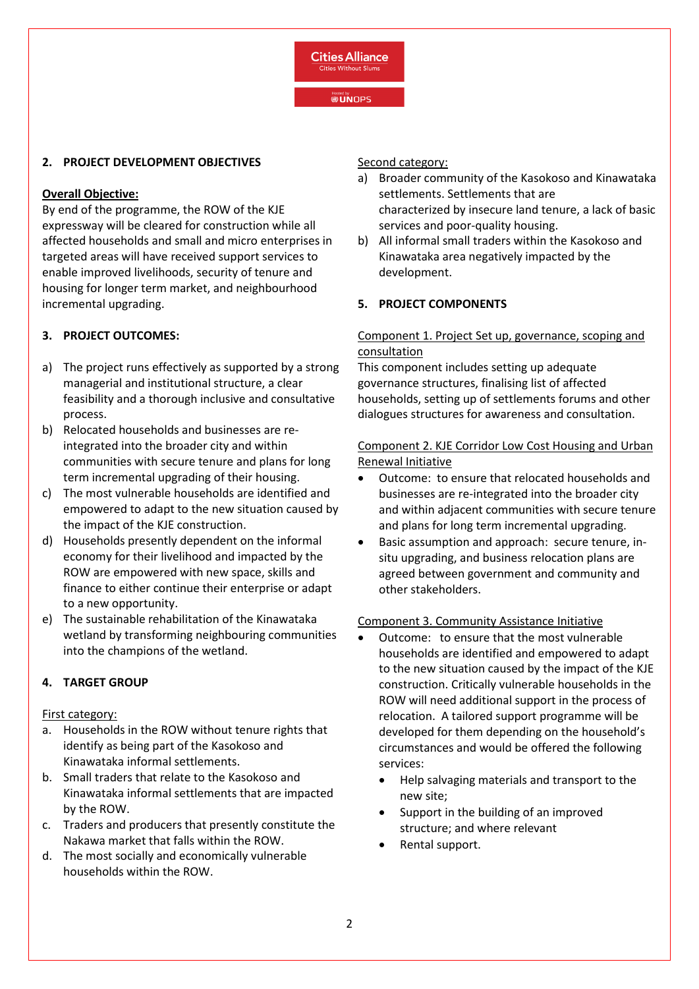

#### **2. PROJECT DEVELOPMENT OBJECTIVES**

### **Overall Objective:**

By end of the programme, the ROW of the KJE expressway will be cleared for construction while all affected households and small and micro enterprises in targeted areas will have received support services to enable improved livelihoods, security of tenure and housing for longer term market, and neighbourhood incremental upgrading.

# **3. PROJECT OUTCOMES:**

- a) The project runs effectively as supported by a strong managerial and institutional structure, a clear feasibility and a thorough inclusive and consultative process.
- b) Relocated households and businesses are reintegrated into the broader city and within communities with secure tenure and plans for long term incremental upgrading of their housing.
- c) The most vulnerable households are identified and empowered to adapt to the new situation caused by the impact of the KJE construction.
- d) Households presently dependent on the informal economy for their livelihood and impacted by the ROW are empowered with new space, skills and finance to either continue their enterprise or adapt to a new opportunity.
- e) The sustainable rehabilitation of the Kinawataka wetland by transforming neighbouring communities into the champions of the wetland.

# **4. TARGET GROUP**

#### First category:

- a. Households in the ROW without tenure rights that identify as being part of the Kasokoso and Kinawataka informal settlements.
- b. Small traders that relate to the Kasokoso and Kinawataka informal settlements that are impacted by the ROW.
- c. Traders and producers that presently constitute the Nakawa market that falls within the ROW.
- d. The most socially and economically vulnerable households within the ROW.

Second category:

- a) Broader community of the Kasokoso and Kinawataka settlements. Settlements that are characterized by insecure land tenure, a lack of basic services and poor-quality housing.
- b) All informal small traders within the Kasokoso and Kinawataka area negatively impacted by the development.

### **5. PROJECT COMPONENTS**

### Component 1. Project Set up, governance, scoping and consultation

This component includes setting up adequate governance structures, finalising list of affected households, setting up of settlements forums and other dialogues structures for awareness and consultation.

### Component 2. KJE Corridor Low Cost Housing and Urban Renewal Initiative

- Outcome: to ensure that relocated households and businesses are re-integrated into the broader city and within adjacent communities with secure tenure and plans for long term incremental upgrading.
- Basic assumption and approach: secure tenure, insitu upgrading, and business relocation plans are agreed between government and community and other stakeholders.

#### Component 3. Community Assistance Initiative

- Outcome: to ensure that the most vulnerable households are identified and empowered to adapt to the new situation caused by the impact of the KJE construction. Critically vulnerable households in the ROW will need additional support in the process of relocation. A tailored support programme will be developed for them depending on the household's circumstances and would be offered the following services:
	- Help salvaging materials and transport to the new site;
	- Support in the building of an improved structure; and where relevant
	- Rental support.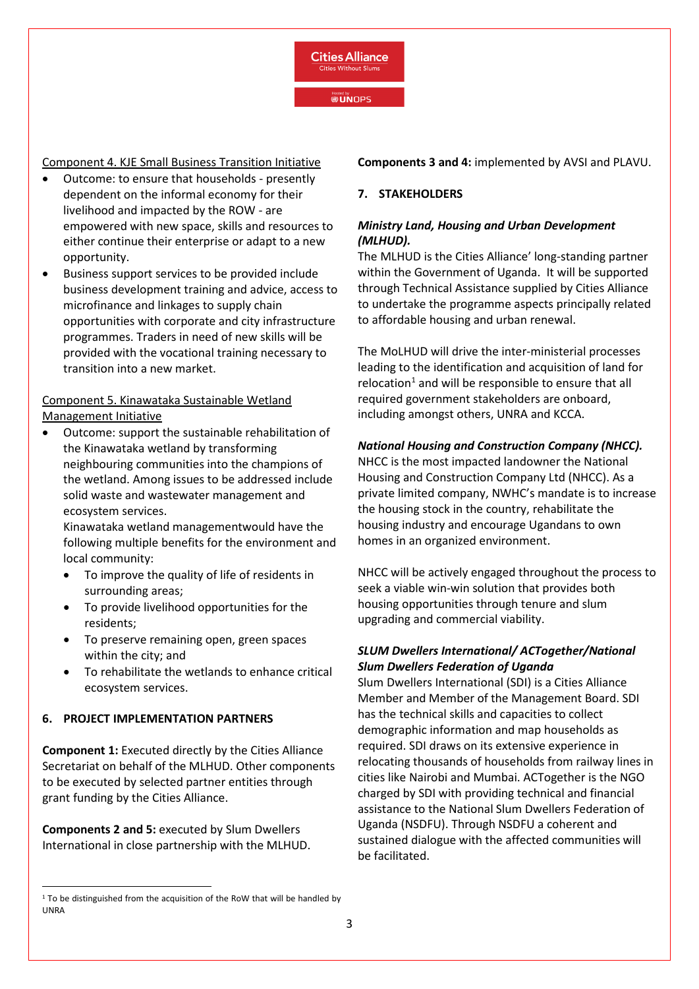**Cities Alliance** Cities Without Slum

**Hosted by**<br>**@UNOPS** 

Component 4. KJE Small Business Transition Initiative

- Outcome: to ensure that households presently dependent on the informal economy for their livelihood and impacted by the ROW - are empowered with new space, skills and resources to either continue their enterprise or adapt to a new opportunity.
- Business support services to be provided include business development training and advice, access to microfinance and linkages to supply chain opportunities with corporate and city infrastructure programmes. Traders in need of new skills will be provided with the vocational training necessary to transition into a new market.

# Component 5. Kinawataka Sustainable Wetland Management Initiative

• Outcome: support the sustainable rehabilitation of the Kinawataka wetland by transforming neighbouring communities into the champions of the wetland. Among issues to be addressed include solid waste and wastewater management and ecosystem services.

Kinawataka wetland managementwould have the following multiple benefits for the environment and local community:

- To improve the quality of life of residents in surrounding areas;
- To provide livelihood opportunities for the residents;
- To preserve remaining open, green spaces within the city; and
- To rehabilitate the wetlands to enhance critical ecosystem services.

# **6. PROJECT IMPLEMENTATION PARTNERS**

**Component 1:** Executed directly by the Cities Alliance Secretariat on behalf of the MLHUD. Other components to be executed by selected partner entities through grant funding by the Cities Alliance.

**Components 2 and 5:** executed by Slum Dwellers International in close partnership with the MLHUD. **Components 3 and 4:** implemented by AVSI and PLAVU.

### **7. STAKEHOLDERS**

# *Ministry Land, Housing and Urban Development (MLHUD).*

The MLHUD is the Cities Alliance' long-standing partner within the Government of Uganda. It will be supported through Technical Assistance supplied by Cities Alliance to undertake the programme aspects principally related to affordable housing and urban renewal.

The MoLHUD will drive the inter-ministerial processes leading to the identification and acquisition of land for relocation<sup>[1](#page-2-0)</sup> and will be responsible to ensure that all required government stakeholders are onboard, including amongst others, UNRA and KCCA.

# *National Housing and Construction Company (NHCC).*

NHCC is the most impacted landowner the National Housing and Construction Company Ltd (NHCC). As a private limited company, NWHC's mandate is to increase the housing stock in the country, rehabilitate the housing industry and encourage Ugandans to own homes in an organized environment.

NHCC will be actively engaged throughout the process to seek a viable win-win solution that provides both housing opportunities through tenure and slum upgrading and commercial viability.

### *SLUM Dwellers International/ ACTogether/National Slum Dwellers Federation of Uganda*

Slum Dwellers International (SDI) is a Cities Alliance Member and Member of the Management Board. SDI has the technical skills and capacities to collect demographic information and map households as required. SDI draws on its extensive experience in relocating thousands of households from railway lines in cities like Nairobi and Mumbai. ACTogether is the NGO charged by SDI with providing technical and financial assistance to the National Slum Dwellers Federation of Uganda (NSDFU). Through NSDFU a coherent and sustained dialogue with the affected communities will be facilitated.

<span id="page-2-0"></span><sup>&</sup>lt;sup>1</sup> To be distinguished from the acquisition of the RoW that will be handled by UNRA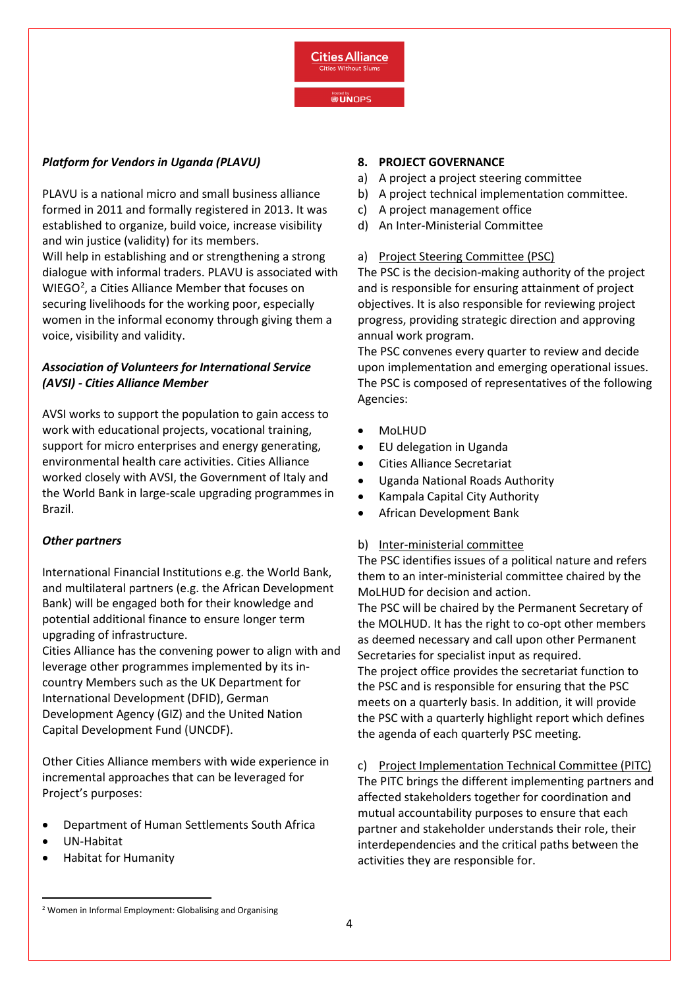

#### **Hosted by**<br>**@UNOPS**

### *Platform for Vendors in Uganda (PLAVU)*

PLAVU is a national micro and small business alliance formed in 2011 and formally registered in 2013. It was established to organize, build voice, increase visibility and win justice (validity) for its members. Will help in establishing and or strengthening a strong dialogue with informal traders. PLAVU is associated with WIEGO<sup>[2](#page-3-0)</sup>, a Cities Alliance Member that focuses on securing livelihoods for the working poor, especially women in the informal economy through giving them a voice, visibility and validity.

# *Association of Volunteers for International Service (AVSI) - Cities Alliance Member*

AVSI works to support the population to gain access to work with educational projects, vocational training, support for micro enterprises and energy generating, environmental health care activities. Cities Alliance worked closely with AVSI, the Government of Italy and the World Bank in large-scale upgrading programmes in Brazil.

#### *Other partners*

International Financial Institutions e.g. the World Bank, and multilateral partners (e.g. the African Development Bank) will be engaged both for their knowledge and potential additional finance to ensure longer term upgrading of infrastructure.

Cities Alliance has the convening power to align with and leverage other programmes implemented by its incountry Members such as the UK Department for International Development (DFID), German Development Agency (GIZ) and the United Nation Capital Development Fund (UNCDF).

Other Cities Alliance members with wide experience in incremental approaches that can be leveraged for Project's purposes:

- Department of Human Settlements South Africa
- UN-Habitat
- Habitat for Humanity

#### **8. PROJECT GOVERNANCE**

- a) A project a project steering committee
- b) A project technical implementation committee.
- c) A project management office
- d) An Inter-Ministerial Committee

#### a) Project Steering Committee (PSC)

The PSC is the decision-making authority of the project and is responsible for ensuring attainment of project objectives. It is also responsible for reviewing project progress, providing strategic direction and approving annual work program.

The PSC convenes every quarter to review and decide upon implementation and emerging operational issues. The PSC is composed of representatives of the following Agencies:

- MoLHUD
- EU delegation in Uganda
- Cities Alliance Secretariat
- Uganda National Roads Authority
- Kampala Capital City Authority
- African Development Bank

#### b) Inter-ministerial committee

The PSC identifies issues of a political nature and refers them to an inter-ministerial committee chaired by the MoLHUD for decision and action.

The PSC will be chaired by the Permanent Secretary of the MOLHUD. It has the right to co-opt other members as deemed necessary and call upon other Permanent Secretaries for specialist input as required. The project office provides the secretariat function to the PSC and is responsible for ensuring that the PSC meets on a quarterly basis. In addition, it will provide the PSC with a quarterly highlight report which defines the agenda of each quarterly PSC meeting.

c) Project Implementation Technical Committee (PITC) The PITC brings the different implementing partners and affected stakeholders together for coordination and mutual accountability purposes to ensure that each partner and stakeholder understands their role, their interdependencies and the critical paths between the activities they are responsible for.

<span id="page-3-0"></span><sup>2</sup> Women in Informal Employment: Globalising and Organising